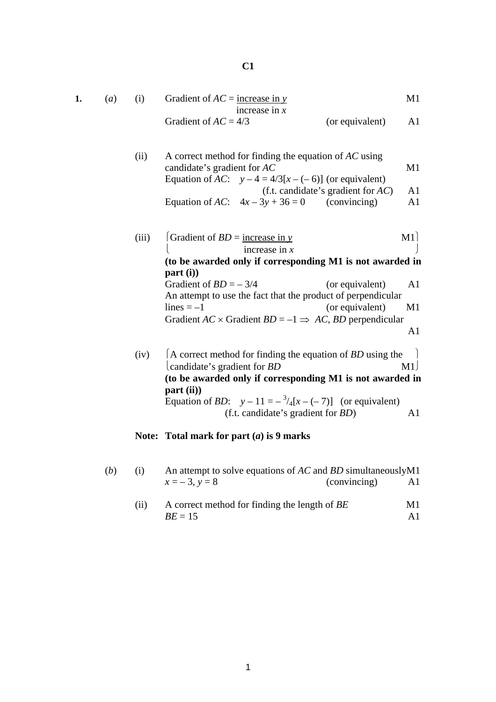| 1. | (a) | (i)   | Gradient of $AC =$ increase in y                                                                                        |                                       | M1                   |
|----|-----|-------|-------------------------------------------------------------------------------------------------------------------------|---------------------------------------|----------------------|
|    |     |       | increase in $x$<br>Gradient of $AC = 4/3$                                                                               |                                       | A <sub>1</sub>       |
|    |     |       |                                                                                                                         | (or equivalent)                       |                      |
|    |     | (ii)  | A correct method for finding the equation of $AC$ using<br>candidate's gradient for AC                                  |                                       | M1                   |
|    |     |       | Equation of AC: $y-4 = 4/3[x-(-6)]$ (or equivalent)                                                                     |                                       |                      |
|    |     |       |                                                                                                                         | (f.t. candidate's gradient for $AC$ ) | A <sub>1</sub>       |
|    |     |       | Equation of AC: $4x-3y+36=0$ (convincing)                                                                               |                                       | A <sub>1</sub>       |
|    |     | (iii) | Gradient of $BD =$ increase in y                                                                                        |                                       | M1                   |
|    |     |       | increase in $x$                                                                                                         |                                       |                      |
|    |     |       | (to be awarded only if corresponding M1 is not awarded in<br>part(i)                                                    |                                       |                      |
|    |     |       | Gradient of $BD = -3/4$                                                                                                 | (or equivalent)                       | A <sub>1</sub>       |
|    |     |       | An attempt to use the fact that the product of perpendicular<br>$lines = -1$                                            | (or equivalent)                       | M1                   |
|    |     |       | Gradient $AC \times$ Gradient $BD = -1 \implies AC$ , BD perpendicular                                                  |                                       |                      |
|    |     |       |                                                                                                                         |                                       | A <sub>1</sub>       |
|    |     | (iv)  | $\vert$ A correct method for finding the equation of <i>BD</i> using the                                                |                                       |                      |
|    |     |       | candidate's gradient for <i>BD</i><br>(to be awarded only if corresponding M1 is not awarded in                         |                                       | M1                   |
|    |     |       | part (ii))                                                                                                              |                                       |                      |
|    |     |       | Equation of <i>BD</i> : $y - 11 = -\frac{3}{4}[x - (-7)]$ (or equivalent)<br>(f.t. candidate's gradient for <i>BD</i> ) |                                       | A <sub>1</sub>       |
|    |     |       | Note: Total mark for part $(a)$ is 9 marks                                                                              |                                       |                      |
|    |     |       |                                                                                                                         |                                       |                      |
|    | (b) | (i)   | An attempt to solve equations of AC and BD simultaneouslyM1                                                             |                                       |                      |
|    |     |       | $x = -3, y = 8$                                                                                                         | (convincing)                          | A <sub>1</sub>       |
|    |     | (ii)  | A correct method for finding the length of BE<br>$BE = 15$                                                              |                                       | M1<br>A <sub>1</sub> |
|    |     |       |                                                                                                                         |                                       |                      |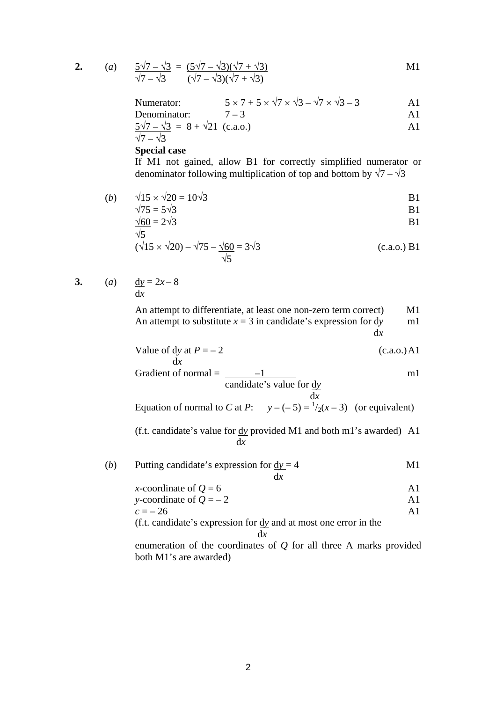2. (a) 
$$
\frac{5\sqrt{7} - \sqrt{3}}{\sqrt{7} - \sqrt{3}} = \frac{(5\sqrt{7} - \sqrt{3})(\sqrt{7} + \sqrt{3})}{(\sqrt{7} - \sqrt{3})(\sqrt{7} + \sqrt{3})}
$$
 M1

Numerator:  $5 \times 7 + 5 \times \sqrt{7} \times \sqrt{3} - \sqrt{7} \times \sqrt{3} - 3$  A1

Denominator: 
$$
7-3
$$
 A1

$$
\frac{5\sqrt{7} - \sqrt{3}}{\sqrt{7} - \sqrt{3}} = 8 + \sqrt{21} \text{ (c.a.o.)}
$$

## **Special case**

If M1 not gained, allow B1 for correctly simplified numerator or denominator following multiplication of top and bottom by  $\sqrt{7} - \sqrt{3}$ 

(b) 
$$
\sqrt{15} \times \sqrt{20} = 10\sqrt{3}
$$
 B1

$$
\sqrt{75} = 5\sqrt{3}
$$
 B1  

$$
\sqrt{60} = 2\sqrt{3}
$$
 B1

$$
\frac{\sqrt{5}}{\sqrt{5}}
$$
  
( $\sqrt{15} \times \sqrt{20}$ ) –  $\sqrt{75}$  –  $\frac{\sqrt{60}}{\sqrt{5}}$  = 3 $\sqrt{3}$  (c.a.o.) B1

3. (a) 
$$
\underline{dy} = 2x - 8
$$

d*x*

An attempt to differentiate, at least one non-zero term correct) M1 An attempt to substitute  $x = 3$  in candidate's expression for  $\frac{dy}{dx}$  m1  $dx$ 

Value of 
$$
\frac{dy}{dx}
$$
 at  $P = -2$  (c.a.o.) A1

Gradient of normal = 
$$
\frac{-1}{\text{candidate's value for } \underline{dy}}
$$

d*x* Equation of normal to *C* at *P*:  $y - (-5) = \frac{1}{2}(x - 3)$  (or equivalent)

(f.t. candidate's value for d*y* provided M1 and both m1's awarded) A1 d*x*

(b) Putting candidate's expression for 
$$
\frac{dy}{dx} = 4
$$
 M1

*x*-coordinate of  $Q = 6$  A1 *y*-coordinate of  $Q = -2$  A1  $c = -26$  A1 (f.t. candidate's expression for d*y* and at most one error in the

## $dx$

enumeration of the coordinates of *Q* for all three A marks provided both M1's are awarded)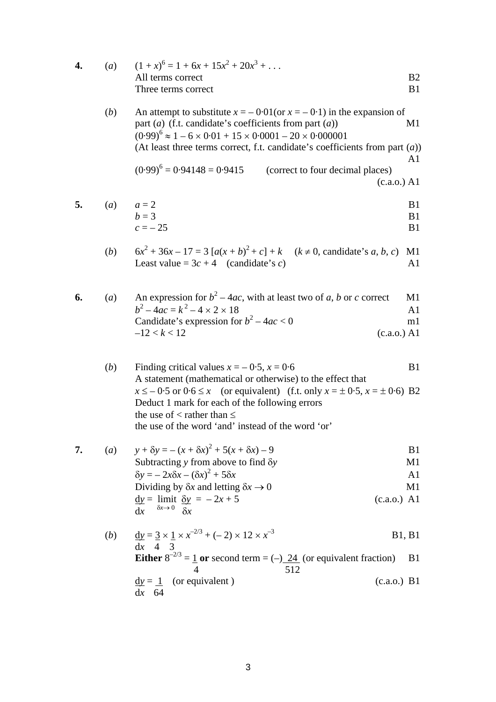| 4. | (a)          | $(1+x)^6 = 1 + 6x + 15x^2 + 20x^3 + \dots$                                                                                                                                                                                                                                                                              |                            |
|----|--------------|-------------------------------------------------------------------------------------------------------------------------------------------------------------------------------------------------------------------------------------------------------------------------------------------------------------------------|----------------------------|
|    |              | All terms correct                                                                                                                                                                                                                                                                                                       | B2                         |
|    |              | Three terms correct                                                                                                                                                                                                                                                                                                     | B1                         |
|    | (b)          | An attempt to substitute $x = -0.01$ (or $x = -0.1$ ) in the expansion of<br>part ( <i>a</i> ) (f.t. candidate's coefficients from part ( <i>a</i> ))<br>$(0.99)^6 \approx 1 - 6 \times 0.01 + 15 \times 0.0001 - 20 \times 0.000001$<br>(At least three terms correct, f.t. candidate's coefficients from part $(a)$ ) | M1                         |
|    |              |                                                                                                                                                                                                                                                                                                                         | A1                         |
|    |              | $(0.99)^6$ = 0.94148 = 0.9415 (correct to four decimal places)<br>(c.a.o.) A1                                                                                                                                                                                                                                           |                            |
| 5. | (a)          | $a=2$<br>$b=3$<br>$c = -25$                                                                                                                                                                                                                                                                                             | <b>B</b> 1<br>B1<br>B1     |
|    | (b)          | $6x^{2} + 36x - 17 = 3[a(x + b)^{2} + c] + k$ $(k \ne 0,$ candidate's a, b, c)<br>Least value = $3c + 4$ (candidate's c)                                                                                                                                                                                                | M1<br>A1                   |
| 6. | (a)          | An expression for $b^2 - 4ac$ , with at least two of a, b or c correct<br>$b^2 - 4ac = k^2 - 4 \times 2 \times 18$<br>Candidate's expression for $b^2 - 4ac < 0$<br>$-12 < k < 12$<br>(c.a.o.) A1                                                                                                                       | M1<br>A <sub>1</sub><br>m1 |
|    |              |                                                                                                                                                                                                                                                                                                                         |                            |
|    | (b)          | Finding critical values $x = -0.5$ , $x = 0.6$<br>A statement (mathematical or otherwise) to the effect that                                                                                                                                                                                                            | B1                         |
|    |              | $x \le -0.5$ or $0.6 \le x$ (or equivalent) (f.t. only $x = \pm 0.5$ , $x = \pm 0.6$ ) B2<br>Deduct 1 mark for each of the following errors<br>the use of $\lt$ rather than $\leq$                                                                                                                                      |                            |
|    |              | the use of the word 'and' instead of the word 'or'                                                                                                                                                                                                                                                                      |                            |
| 7. | (a)          | $y + \delta y = -(x + \delta x)^2 + 5(x + \delta x) - 9$                                                                                                                                                                                                                                                                | B <sub>1</sub>             |
|    |              | Subtracting $y$ from above to find $\delta y$<br>$\delta y = -2x\delta x - (\delta x)^2 + 5\delta x$                                                                                                                                                                                                                    | M1<br>A1                   |
|    |              | Dividing by $\delta x$ and letting $\delta x \rightarrow 0$                                                                                                                                                                                                                                                             | M1                         |
|    |              | $\underline{dy}$ = limit $\underline{\delta y}$ = -2x + 5<br>$(c.a.o.)$ A1<br>$\delta x \rightarrow 0$ $\delta x$<br>dx                                                                                                                                                                                                 |                            |
|    | ( <i>b</i> ) | $\underline{dy} = 3 \times 1 \times x^{-2/3} + (-2) \times 12 \times x^{-3}$<br><b>B1</b> , <b>B1</b><br>$dx$ 4 3                                                                                                                                                                                                       |                            |
|    |              | <b>Either</b> $8^{-2/3} = 1$ or second term = (-) 24 (or equivalent fraction)<br>512                                                                                                                                                                                                                                    | B1                         |
|    |              | $\underline{dy} = \underline{1}$ (or equivalent)<br>(c.a.o.) B1<br>dx<br>64                                                                                                                                                                                                                                             |                            |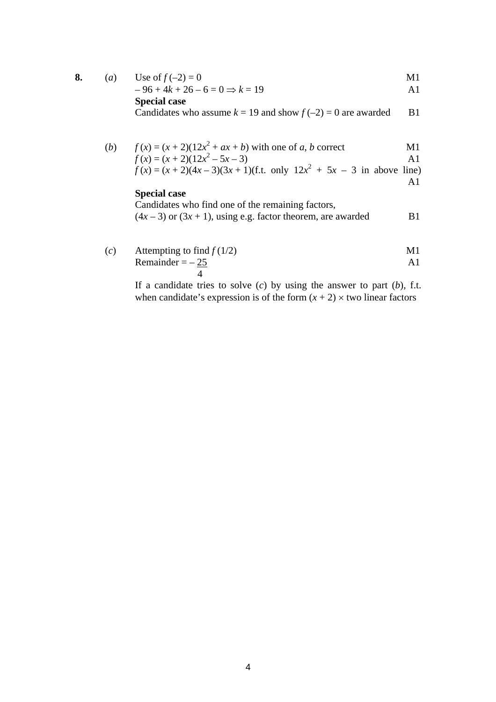**8.** (a) Use of 
$$
f(-2) = 0
$$
 M1

$$
-96 + 4k + 26 - 6 = 0 \Rightarrow k = 19
$$

**Special case** 

Candidates who assume 
$$
k = 19
$$
 and show  $f(-2) = 0$  are awarded B1

(b) 
$$
f(x) = (x + 2)(12x^2 + ax + b)
$$
 with one of *a*, *b* correct M1  
\n $f(x) = (x + 2)(12x^2 - 5x - 3)$  A1  
\n $f(x) = (x + 2)(4x - 3)(3x + 1)(\text{f.t. only } 12x^2 + 5x - 3 \text{ in above line})$ 

A1

## **Special case**

Candidates who find one of the remaining factors,  $(4x-3)$  or  $(3x + 1)$ , using e.g. factor theorem, are awarded B1

(c) Attempting to find 
$$
f(1/2)
$$
  
\nRemainder =  $-\frac{25}{4}$  A1

If a candidate tries to solve (*c*) by using the answer to part (*b*), f.t. when candidate's expression is of the form  $(x + 2) \times$  two linear factors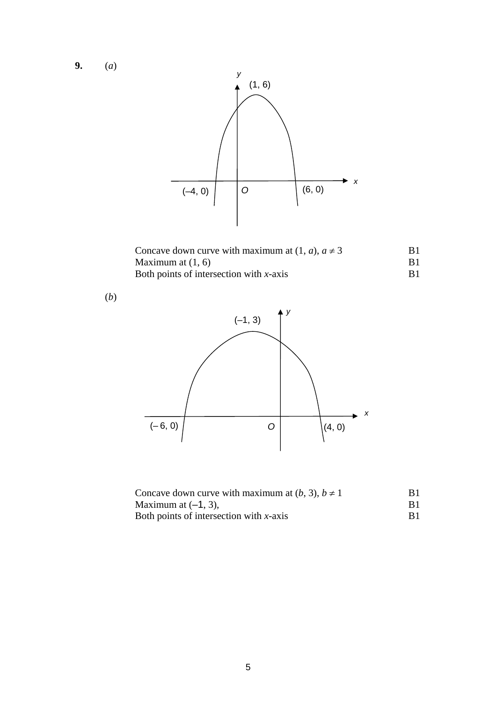**9.** (*a*)



| Concave down curve with maximum at $(1, a)$ , $a \neq 3$ | B1 |
|----------------------------------------------------------|----|
| Maximum at $(1, 6)$                                      |    |
| Both points of intersection with $x$ -axis               |    |

(*b*)



| Concave down curve with maximum at $(b, 3)$ , $b \ne 1$ |  |
|---------------------------------------------------------|--|
| Maximum at $(-1, 3)$ ,                                  |  |
| Both points of intersection with $x$ -axis              |  |